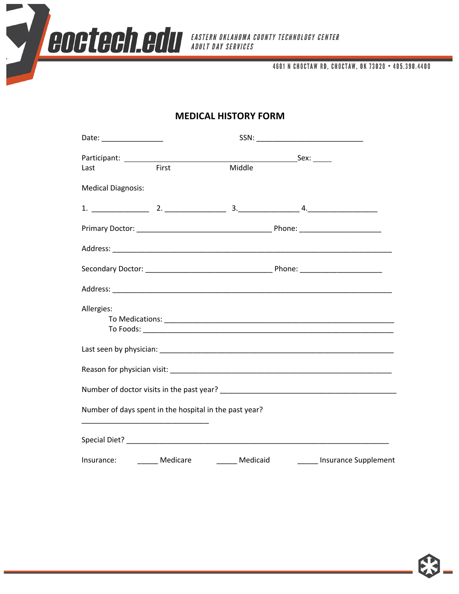

4601 N CHOCTAW RD, CHOCTAW, OK 73020 . 405.390.4400

# **MEDICAL HISTORY FORM**

| Date: __________________                               |       |          |                      |
|--------------------------------------------------------|-------|----------|----------------------|
|                                                        |       |          |                      |
| Last                                                   | First | Middle   |                      |
| <b>Medical Diagnosis:</b>                              |       |          |                      |
|                                                        |       |          |                      |
|                                                        |       |          |                      |
|                                                        |       |          |                      |
|                                                        |       |          |                      |
|                                                        |       |          |                      |
| Allergies:                                             |       |          |                      |
|                                                        |       |          |                      |
|                                                        |       |          |                      |
|                                                        |       |          |                      |
|                                                        |       |          |                      |
| Number of days spent in the hospital in the past year? |       |          |                      |
|                                                        |       |          |                      |
| Insurance: Medicare                                    |       | Medicaid | Insurance Supplement |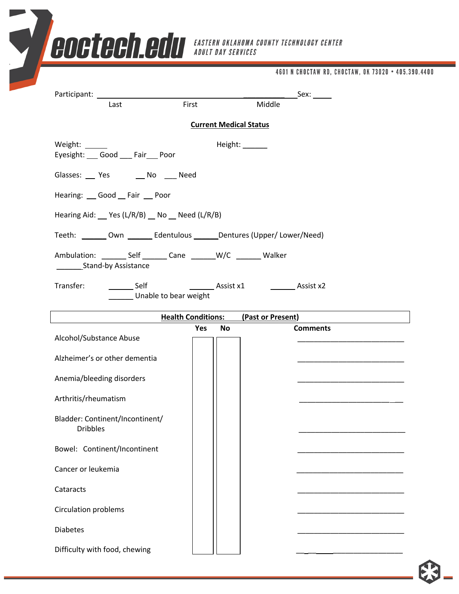|                                                                           |                           |                               | 4601 N CHOCTAW RD, CHOCTAW, OK 73020 • 405.390.4400 |  |
|---------------------------------------------------------------------------|---------------------------|-------------------------------|-----------------------------------------------------|--|
| Participant: ______________<br>Last                                       | First                     | Middle                        |                                                     |  |
|                                                                           |                           | <b>Current Medical Status</b> |                                                     |  |
| Weight: ______                                                            |                           | Height: _______               |                                                     |  |
| Eyesight: Good Fair Poor                                                  |                           |                               |                                                     |  |
| Glasses: __ Yes __ _ No __ Need                                           |                           |                               |                                                     |  |
| Hearing: Good Fair Poor                                                   |                           |                               |                                                     |  |
| Hearing Aid: Yes (L/R/B) No Need (L/R/B)                                  |                           |                               |                                                     |  |
| Teeth: _______ Own _______ Edentulous ______ Dentures (Upper/ Lower/Need) |                           |                               |                                                     |  |
| Ambulation: _________ Self ________ Cane ________ W/C ________ Walker     |                           |                               |                                                     |  |
| Stand-by Assistance                                                       |                           |                               |                                                     |  |
|                                                                           |                           |                               |                                                     |  |
| Transfer:<br>Self<br>Unable to bear weight                                |                           |                               | Assist x1 Assist x2                                 |  |
|                                                                           | <b>Health Conditions:</b> | (Past or Present)             |                                                     |  |
| Alcohol/Substance Abuse                                                   | Yes                       | No                            | <b>Comments</b>                                     |  |
| Alzheimer's or other dementia                                             |                           |                               |                                                     |  |
| Anemia/bleeding disorders                                                 |                           |                               |                                                     |  |
|                                                                           |                           |                               |                                                     |  |
| Arthritis/rheumatism                                                      |                           |                               |                                                     |  |
| Bladder: Continent/Incontinent/<br><b>Dribbles</b>                        |                           |                               |                                                     |  |
| Bowel: Continent/Incontinent                                              |                           |                               |                                                     |  |
| Cancer or leukemia                                                        |                           |                               |                                                     |  |
| Cataracts                                                                 |                           |                               |                                                     |  |
| Circulation problems                                                      |                           |                               |                                                     |  |
| <b>Diabetes</b>                                                           |                           |                               |                                                     |  |

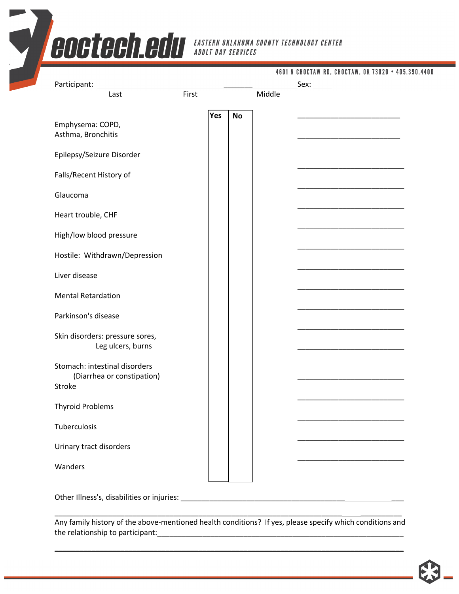|                                                                       |       |     |           |        | Sex: | 4601 N CHOCTAW RD, CHOCTAW, OK 73020 • 405.390.4400 |
|-----------------------------------------------------------------------|-------|-----|-----------|--------|------|-----------------------------------------------------|
| Last                                                                  | First |     |           | Middle |      |                                                     |
| Emphysema: COPD,<br>Asthma, Bronchitis                                |       | Yes | <b>No</b> |        |      |                                                     |
| Epilepsy/Seizure Disorder                                             |       |     |           |        |      |                                                     |
| Falls/Recent History of                                               |       |     |           |        |      |                                                     |
| Glaucoma                                                              |       |     |           |        |      |                                                     |
| Heart trouble, CHF                                                    |       |     |           |        |      |                                                     |
| High/low blood pressure                                               |       |     |           |        |      |                                                     |
| Hostile: Withdrawn/Depression                                         |       |     |           |        |      |                                                     |
| Liver disease                                                         |       |     |           |        |      |                                                     |
| <b>Mental Retardation</b>                                             |       |     |           |        |      |                                                     |
| Parkinson's disease                                                   |       |     |           |        |      |                                                     |
| Skin disorders: pressure sores,<br>Leg ulcers, burns                  |       |     |           |        |      |                                                     |
| Stomach: intestinal disorders<br>(Diarrhea or constipation)<br>Stroke |       |     |           |        |      |                                                     |
| <b>Thyroid Problems</b>                                               |       |     |           |        |      |                                                     |
| Tuberculosis                                                          |       |     |           |        |      |                                                     |
| Urinary tract disorders                                               |       |     |           |        |      |                                                     |

Other Illness's, disabilities or injuries: \_\_\_\_\_\_\_\_\_\_\_\_\_\_\_\_\_\_\_\_\_\_\_\_\_\_\_\_\_\_\_\_\_\_\_\_\_\_\_\_ \_\_\_

Any family history of the above-mentioned health conditions? If yes, please specify which conditions and the relationship to participant:

**\_\_\_\_\_\_\_\_\_\_\_\_\_\_\_\_\_\_\_\_\_\_\_\_\_\_\_\_\_\_\_\_\_\_\_\_\_\_\_\_\_\_\_\_\_\_\_\_\_\_\_\_\_\_\_\_\_\_\_\_\_\_\_\_\_\_\_\_\_\_\_\_\_\_\_\_\_\_\_\_\_\_\_\_\_**

\_\_\_\_\_\_\_\_\_\_\_\_\_\_\_\_\_\_\_\_\_\_\_\_\_\_\_\_\_\_\_\_\_\_\_\_\_\_\_\_\_\_\_\_\_\_\_\_\_\_\_\_\_\_\_\_\_\_\_\_\_\_\_\_\_\_\_\_\_\_ \_\_\_\_\_\_\_\_\_\_